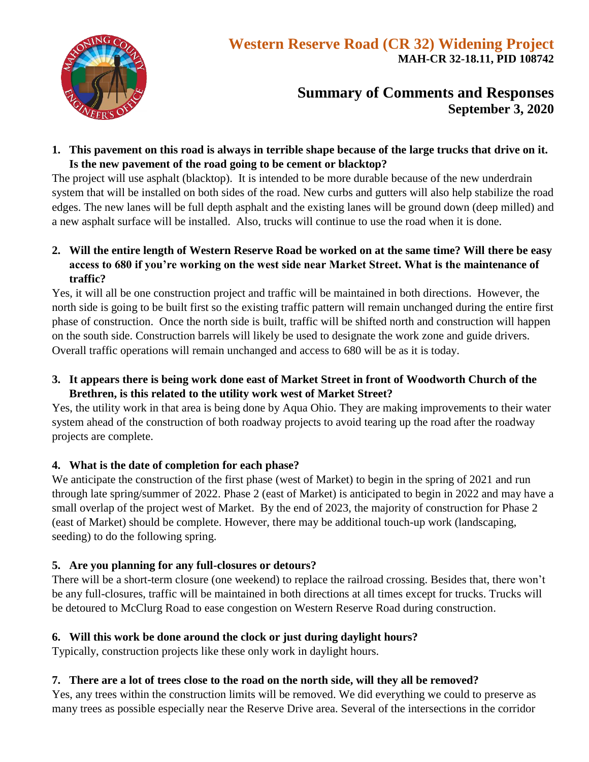

# **Summary of Comments and Responses September 3, 2020**

**1. This pavement on this road is always in terrible shape because of the large trucks that drive on it. Is the new pavement of the road going to be cement or blacktop?**

The project will use asphalt (blacktop). It is intended to be more durable because of the new underdrain system that will be installed on both sides of the road. New curbs and gutters will also help stabilize the road edges. The new lanes will be full depth asphalt and the existing lanes will be ground down (deep milled) and a new asphalt surface will be installed. Also, trucks will continue to use the road when it is done.

**2. Will the entire length of Western Reserve Road be worked on at the same time? Will there be easy access to 680 if you're working on the west side near Market Street. What is the maintenance of traffic?**

Yes, it will all be one construction project and traffic will be maintained in both directions. However, the north side is going to be built first so the existing traffic pattern will remain unchanged during the entire first phase of construction. Once the north side is built, traffic will be shifted north and construction will happen on the south side. Construction barrels will likely be used to designate the work zone and guide drivers. Overall traffic operations will remain unchanged and access to 680 will be as it is today.

**3. It appears there is being work done east of Market Street in front of Woodworth Church of the Brethren, is this related to the utility work west of Market Street?**

Yes, the utility work in that area is being done by Aqua Ohio. They are making improvements to their water system ahead of the construction of both roadway projects to avoid tearing up the road after the roadway projects are complete.

## **4. What is the date of completion for each phase?**

We anticipate the construction of the first phase (west of Market) to begin in the spring of 2021 and run through late spring/summer of 2022. Phase 2 (east of Market) is anticipated to begin in 2022 and may have a small overlap of the project west of Market. By the end of 2023, the majority of construction for Phase 2 (east of Market) should be complete. However, there may be additional touch-up work (landscaping, seeding) to do the following spring.

## **5. Are you planning for any full-closures or detours?**

There will be a short-term closure (one weekend) to replace the railroad crossing. Besides that, there won't be any full-closures, traffic will be maintained in both directions at all times except for trucks. Trucks will be detoured to McClurg Road to ease congestion on Western Reserve Road during construction.

## **6. Will this work be done around the clock or just during daylight hours?**

Typically, construction projects like these only work in daylight hours.

## **7. There are a lot of trees close to the road on the north side, will they all be removed?**

Yes, any trees within the construction limits will be removed. We did everything we could to preserve as many trees as possible especially near the Reserve Drive area. Several of the intersections in the corridor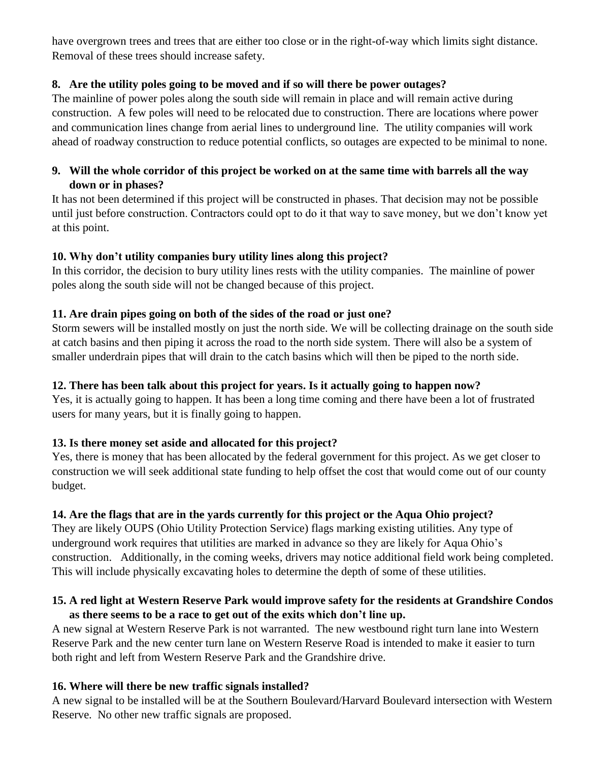have overgrown trees and trees that are either too close or in the right-of-way which limits sight distance. Removal of these trees should increase safety.

#### **8. Are the utility poles going to be moved and if so will there be power outages?**

The mainline of power poles along the south side will remain in place and will remain active during construction. A few poles will need to be relocated due to construction. There are locations where power and communication lines change from aerial lines to underground line. The utility companies will work ahead of roadway construction to reduce potential conflicts, so outages are expected to be minimal to none.

## **9. Will the whole corridor of this project be worked on at the same time with barrels all the way down or in phases?**

It has not been determined if this project will be constructed in phases. That decision may not be possible until just before construction. Contractors could opt to do it that way to save money, but we don't know yet at this point.

## **10. Why don't utility companies bury utility lines along this project?**

In this corridor, the decision to bury utility lines rests with the utility companies. The mainline of power poles along the south side will not be changed because of this project.

## **11. Are drain pipes going on both of the sides of the road or just one?**

Storm sewers will be installed mostly on just the north side. We will be collecting drainage on the south side at catch basins and then piping it across the road to the north side system. There will also be a system of smaller underdrain pipes that will drain to the catch basins which will then be piped to the north side.

## **12. There has been talk about this project for years. Is it actually going to happen now?**

Yes, it is actually going to happen. It has been a long time coming and there have been a lot of frustrated users for many years, but it is finally going to happen.

#### **13. Is there money set aside and allocated for this project?**

Yes, there is money that has been allocated by the federal government for this project. As we get closer to construction we will seek additional state funding to help offset the cost that would come out of our county budget.

## **14. Are the flags that are in the yards currently for this project or the Aqua Ohio project?**

They are likely OUPS (Ohio Utility Protection Service) flags marking existing utilities. Any type of underground work requires that utilities are marked in advance so they are likely for Aqua Ohio's construction. Additionally, in the coming weeks, drivers may notice additional field work being completed. This will include physically excavating holes to determine the depth of some of these utilities.

## **15. A red light at Western Reserve Park would improve safety for the residents at Grandshire Condos as there seems to be a race to get out of the exits which don't line up.**

A new signal at Western Reserve Park is not warranted. The new westbound right turn lane into Western Reserve Park and the new center turn lane on Western Reserve Road is intended to make it easier to turn both right and left from Western Reserve Park and the Grandshire drive.

#### **16. Where will there be new traffic signals installed?**

A new signal to be installed will be at the Southern Boulevard/Harvard Boulevard intersection with Western Reserve. No other new traffic signals are proposed.